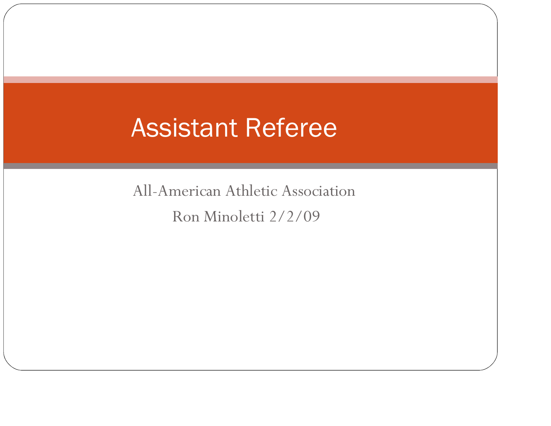#### Assistant Referee

All-American Athletic Association Ron Minoletti 2/2/09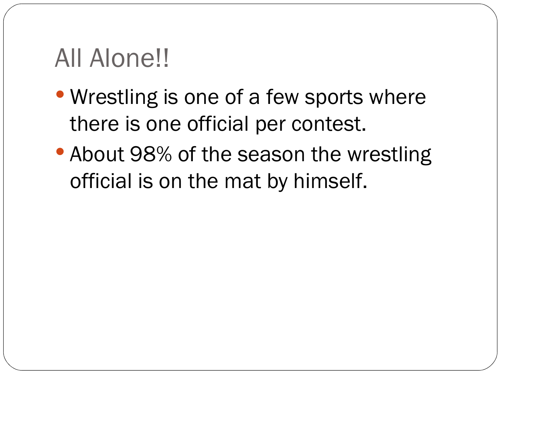#### All Alone!!

- Wrestling is one of a few sports where there is one official per contest.
- About 98% of the season the wrestling official is on the mat by himself.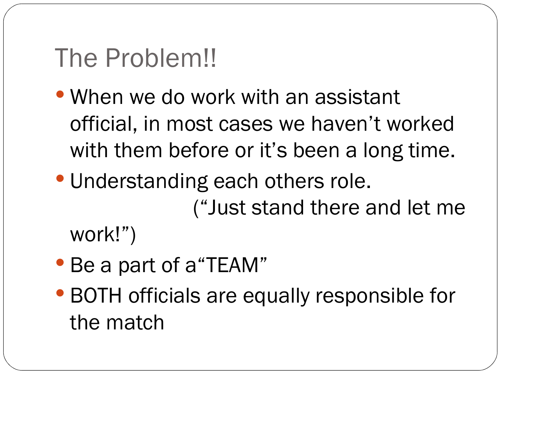## The Problem!!

- When we do work with an assistant official, in most cases we haven't worked with them before or it's been a long time.
- Understanding each others role. ("Just stand there and let mework!")
- Be a part of a"TEAM"
- BOTH officials are equally responsible for the match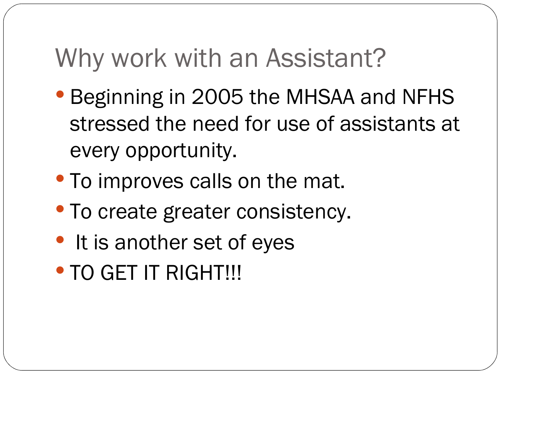## Why work with an Assistant?

- Beginning in 2005 the MHSAA and NFHS stressed the need for use of assistants at every opportunity.
- To improves calls on the mat.
- To create greater consistency.
- It is another set of eyes
- **TO GET IT RIGHT!!!**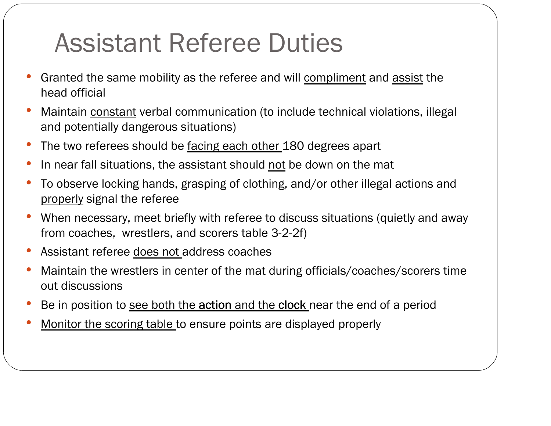## Assistant Referee Duties

- $\bullet$  Granted the same mobility as the referee and will compliment and assist the head official
- 0 Maintain constant verbal communication (to include technical violations, illegal and potentially dangerous situations)
- $\bullet$ The two referees should be facing each other 180 degrees apart
- $\bullet$ In near fall situations, the assistant should not be down on the mat
- $\bullet$  To observe locking hands, grasping of clothing, and/or other illegal actions and properly signal the referee
- $\bullet$  When necessary, meet briefly with referee to discuss situations (quietly and away from coaches, wrestlers, and scorers table 3-2-2f)
- 0 Assistant referee does not address coaches
- 0 Maintain the wrestlers in center of the mat during officials/coaches/scorers time out discussions
- $\bullet$ **Be in position to see both the action and the clock near the end of a period**
- $\bullet$ Monitor the scoring table to ensure points are displayed properly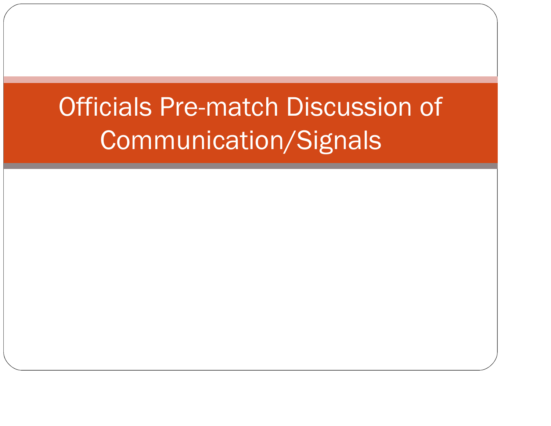# Officials Pre-match Discussion of Communication/Signals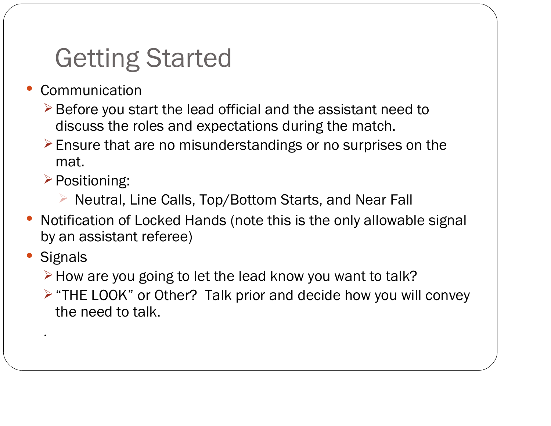# Getting Started

- 0 Communication
	- Before you start the lead official and the assistant need to discuss the roles and expectations during the match.
	- Ensure that are no misunderstandings or no surprises on the mat.
	- Positioning:
		- $\triangleright$  Neutral, Line Calls, Top/Bottom Starts, and Near Fall
- 0 Notification of Locked Hands (note this is the only allowable signal by an assistant referee)
- 0 **Signals**

.

- How are you going to let the lead know you want to talk?
- > "THE LOOK" or Other? Talk prior and decide how you will convey the need to talk.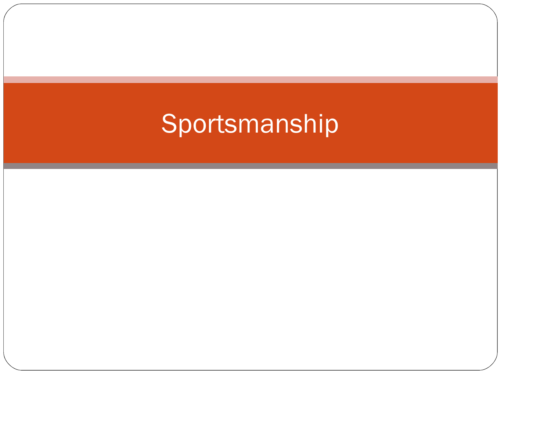## Sportsmanship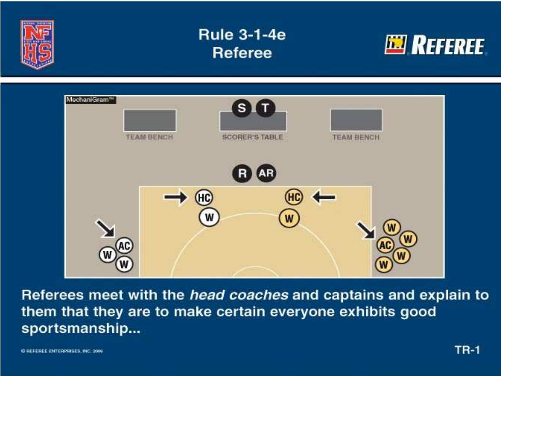

Referees meet with the head coaches and captains and explain to them that they are to make certain everyone exhibits good sportsmanship...

O REFEREE ENTERPRISES, INC. 2006

**TR-1**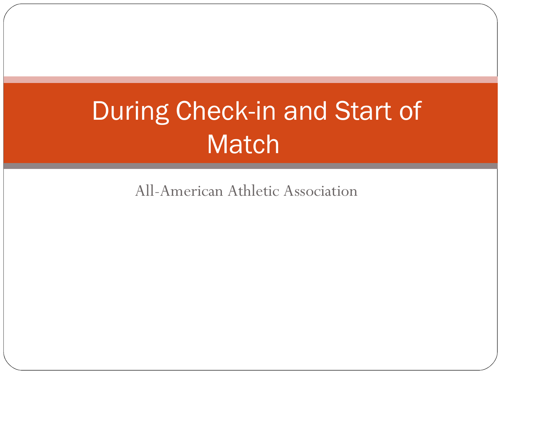# During Check-in and Start of **Match**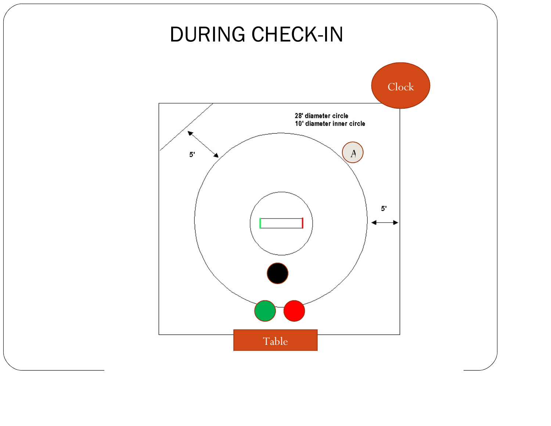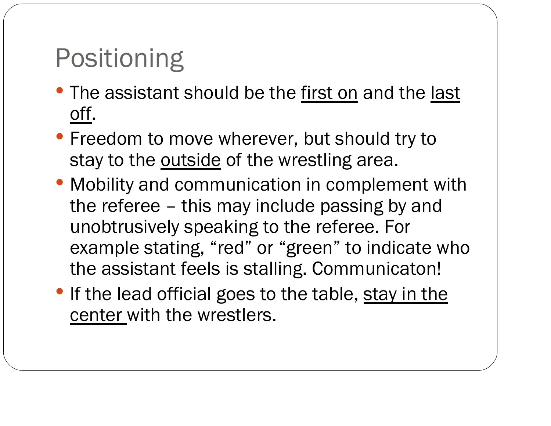## Positioning

- The assistant should be the first on and the <u>last</u> off.
- Freedom to move wherever, but should try to stay to the outside of the wrestling area.
- Mobility and communication in complement with the referee – this may include passing by and unobtrusively speaking to the referee. For example stating, "red" or "green" to indicate who the assistant feels is stalling. Communicaton!
- If the lead official goes to the table, stay in the center with the wrestlers.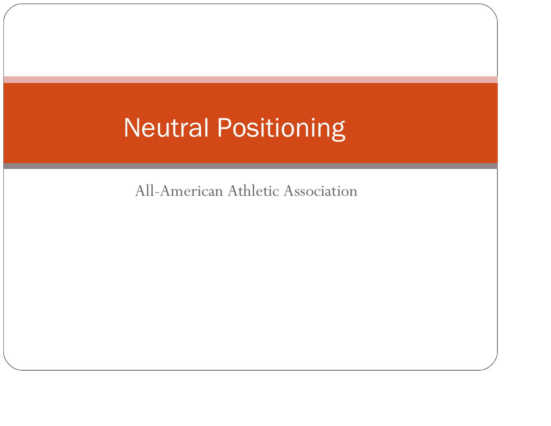#### Neutral Positioning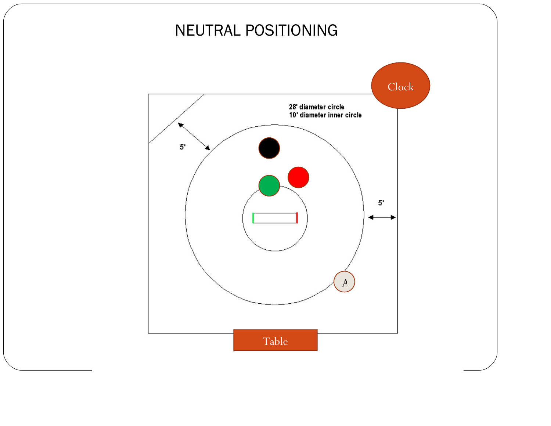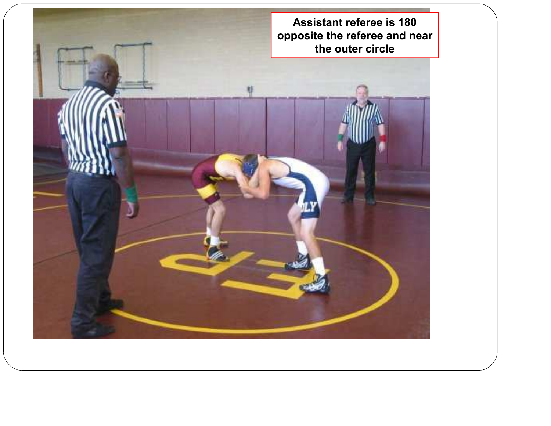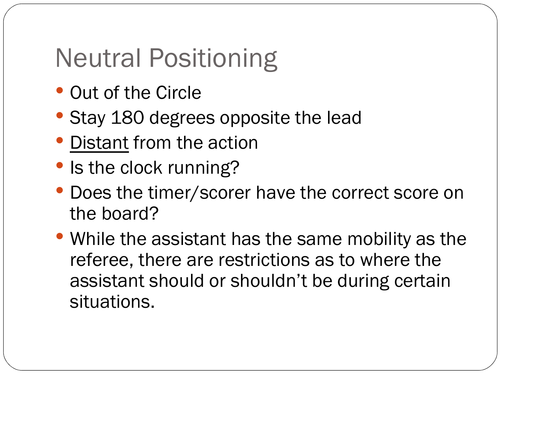# Neutral Positioning

- Out of the Circle
- Stay 180 degrees opposite the lead
- <u>Distant</u> from the action
- Is the clock running?
- Does the timer/scorer have the correct score on the board?
- While the assistant has the same mobility as the referee, there are restrictions as to where the assistant should or shouldn't be during certain situations.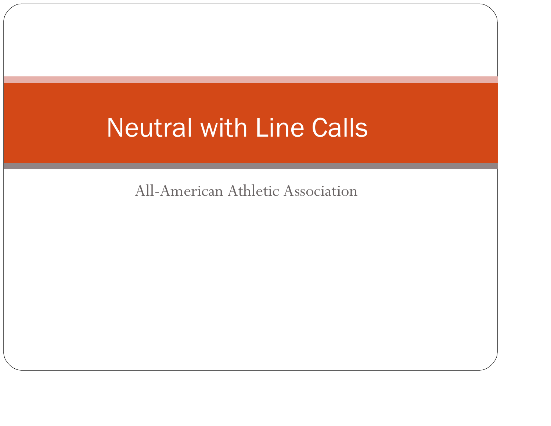## Neutral with Line Calls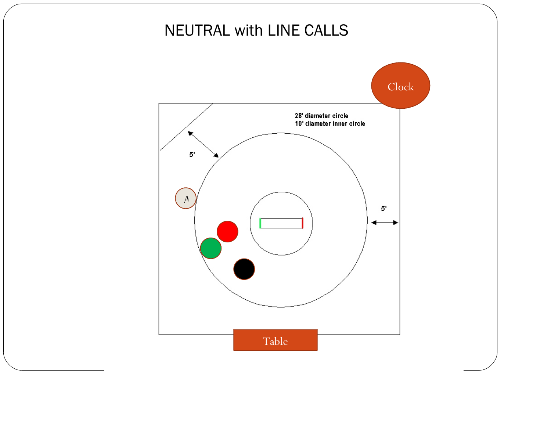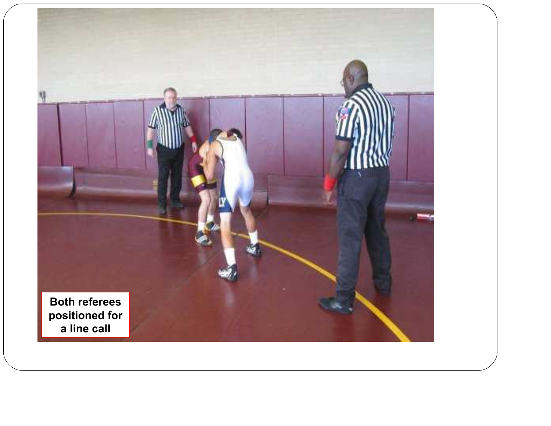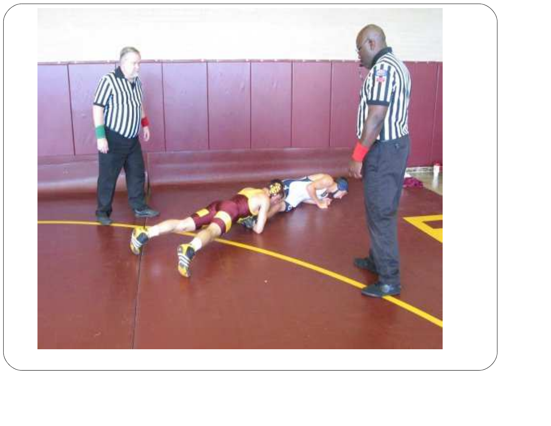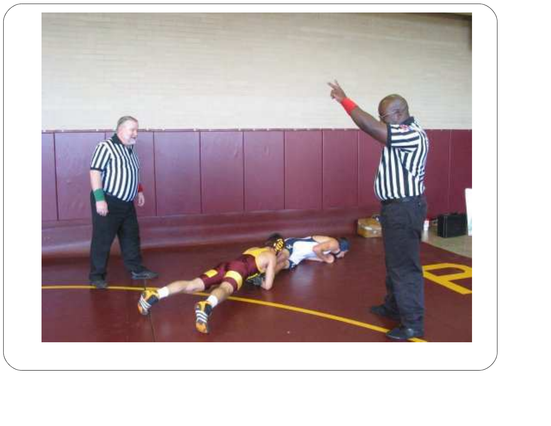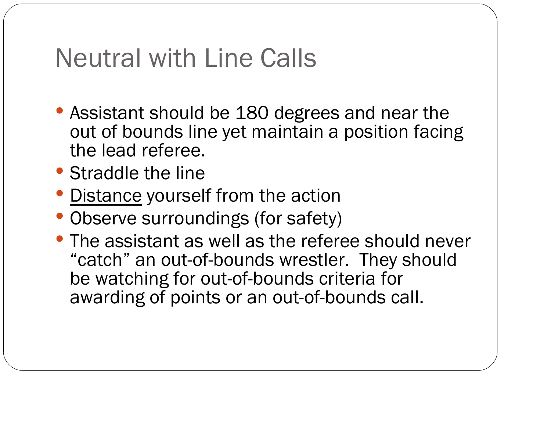## Neutral with Line Calls

- Assistant should be 180 degrees and near the out of bounds line yet maintain a position facing the lead referee.
- Straddle the line
- Distance yourself from the action  $\bullet$
- Observe surroundings (for safety)
- The assistant as well as the referee should never "catch" an out-of-bounds wrestler. They should be watching for out-of-bounds criteria for awarding of points or an out-of-bounds call.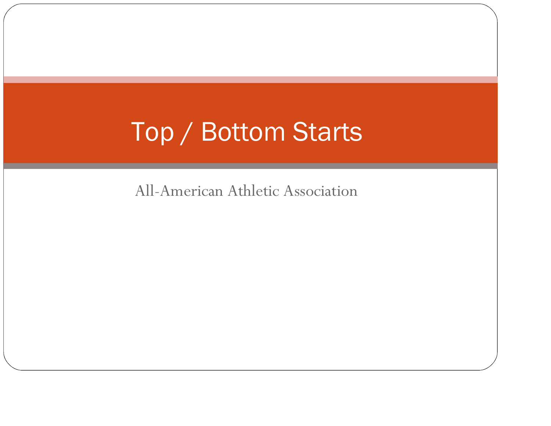#### Top / Bottom Starts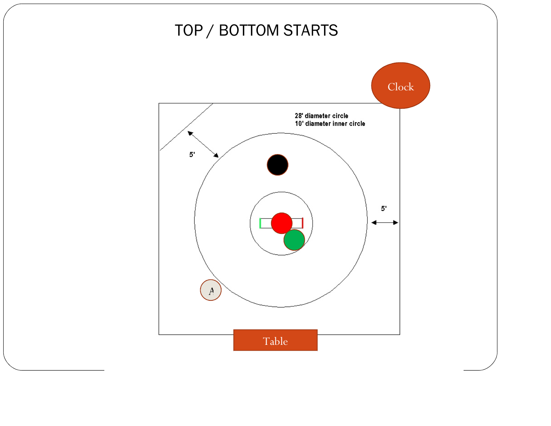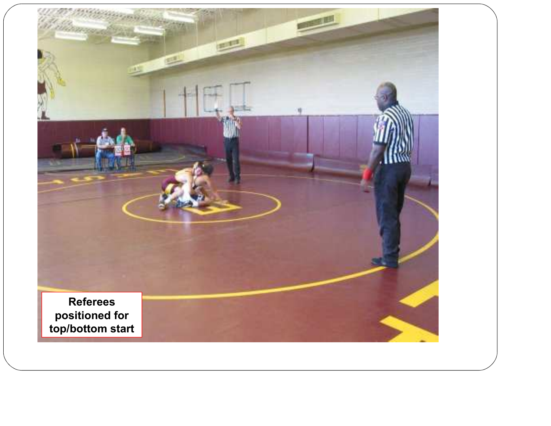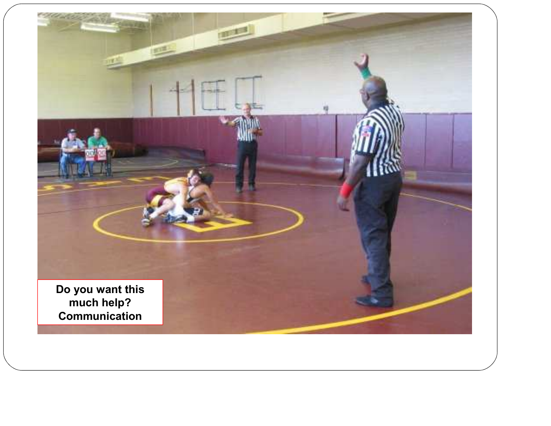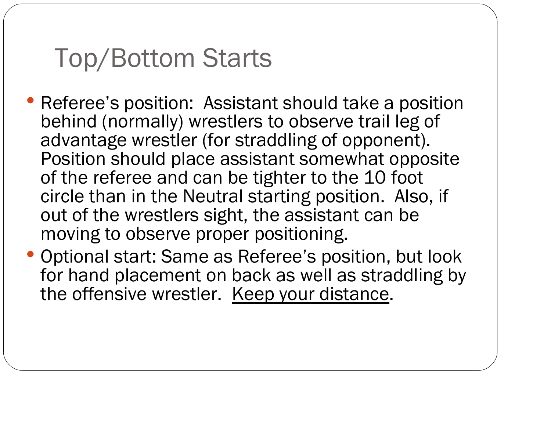## Top/Bottom Starts

- Referee's position: Assistant should take a position behind (normally) wrestlers to observe trail leg ofadvantage wrestler (for straddling of opponent). Position should place assistant somewhat opposite of the referee and can be tighter to the 10 foot circle than in the Neutral starting position. Also, if out of the wrestlers sight, the assistant can be moving to observe proper positioning.
- Optional start: Same as Referee's position, but look for hand placement on back as well as straddling bythe offensive wrestler. Keep your distance.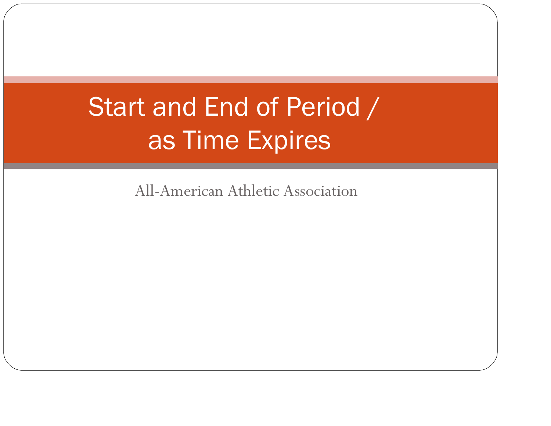# Start and End of Period / as Time Expires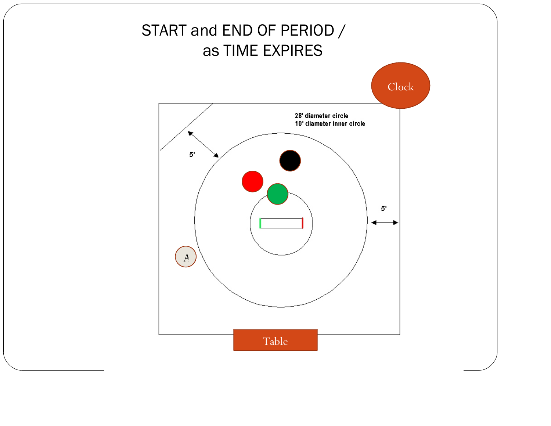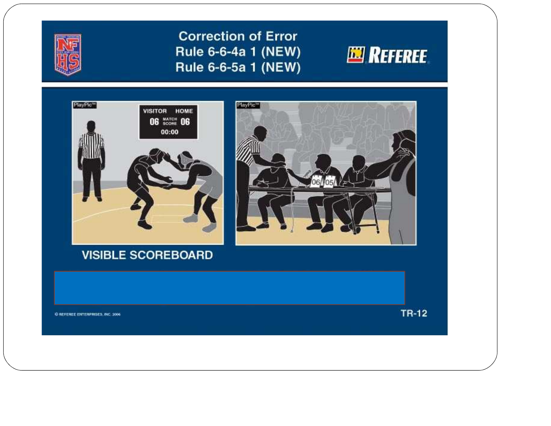

#### **Correction of Error** Rule 6-6-4a 1 (NEW) Rule 6-6-5a 1 (NEW)



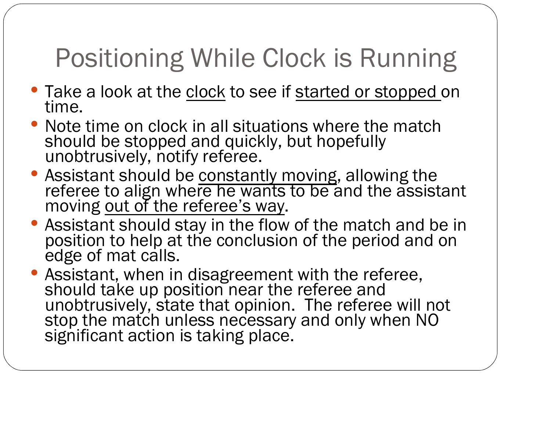# Positioning While Clock is Running

- Take a look at the clock to see if started or stopped on time.
- 0 Note time on clock in all situations where the match should be stopped and quickly, but hopefully unobtrusively, notify referee.
- Assistant should be referee to align where he wants to be and the assistant moving out of the referee's way.
- Assistant should stay in the flow of the match and be in position to help at the conclusion of the period and on edge of mat calls.
- Assistant, when in disagreement with the referee, should take up position near the referee and<br>unobtrusively, state that opinion. The referee will not<br>stop the match unless necessary and only when NO<br>significant action is taking place.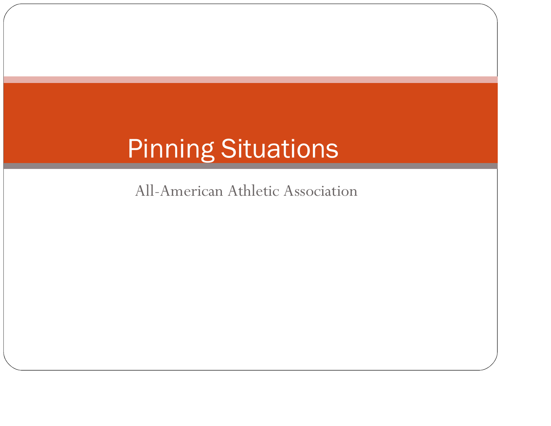## Pinning Situations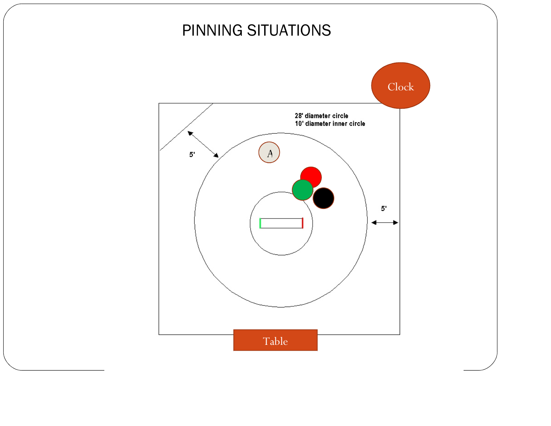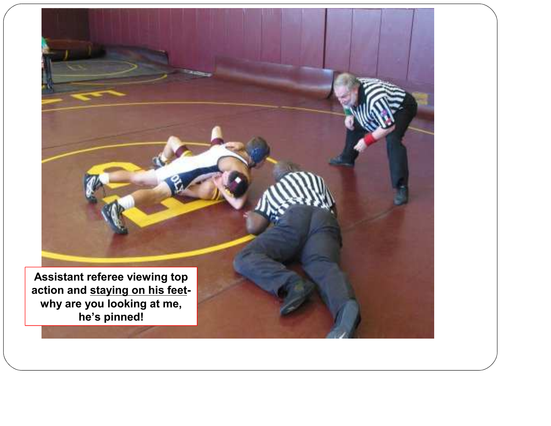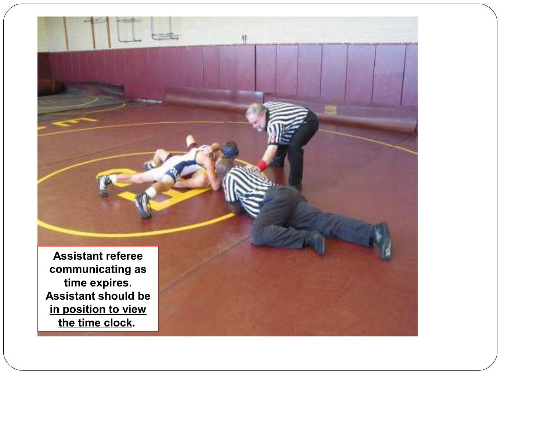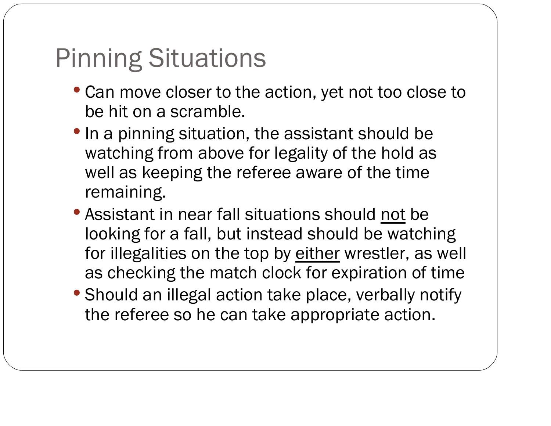# Pinning Situations

- Can move closer to the action, yet not too close to be hit on a scramble.
- In a pinning situation, the assistant should be watching from above for legality of the hold as well as keeping the referee aware of the time remaining.
- Assistant in near fall situations should not be looking for a fall, but instead should be watching for illegalities on the top by either wrestler, as well as checking the match clock for expiration of time
- Should an illegal action take place, verbally notify the referee so he can take appropriate action.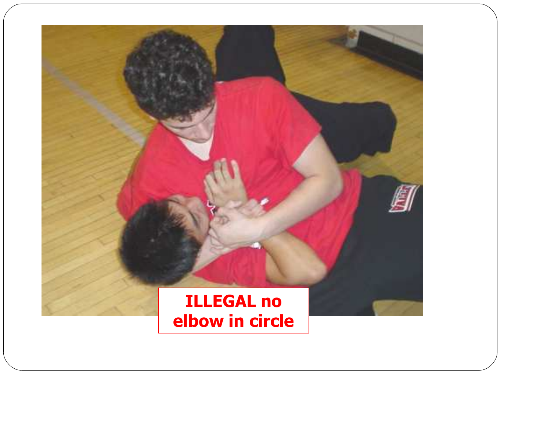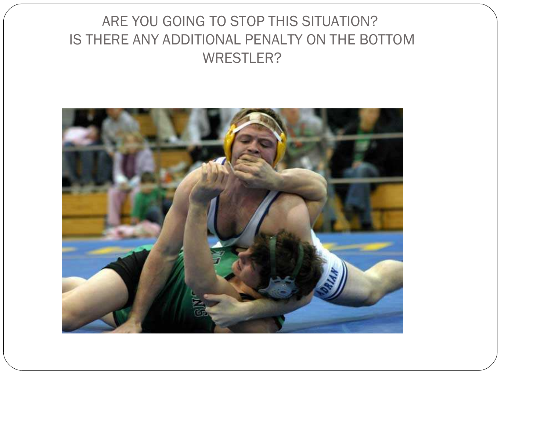#### ARE YOU GOING TO STOP THIS SITUATION? IS THERE ANY ADDITIONAL PENALTY ON THE BOTTOM WRESTLER?

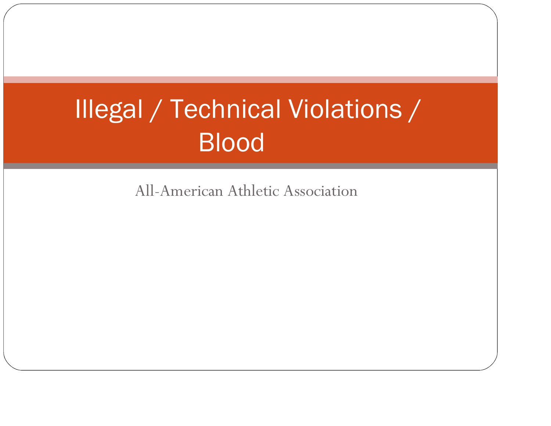# Illegal / Technical Violations / Blood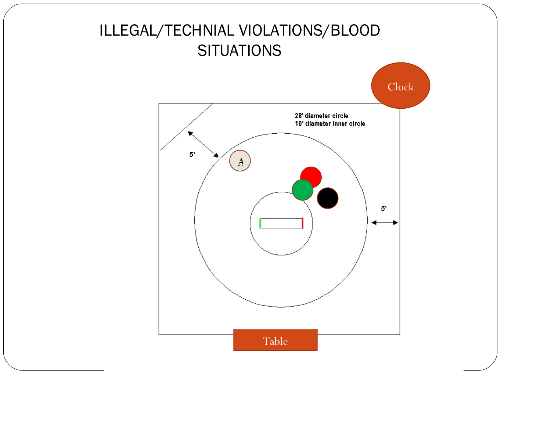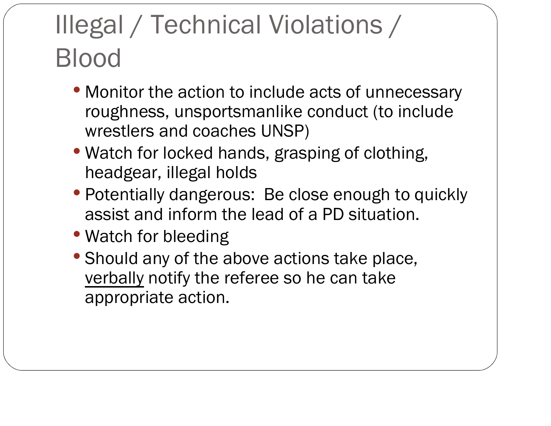# Illegal / Technical Violations / Blood

- Monitor the action to include acts of unnecessary roughness, unsportsmanlike conduct (to include wrestlers and coaches UNSP)
- Watch for locked hands, grasping of clothing, headgear, illegal holds
- Potentially dangerous: Be close enough to quickly assist and inform the lead of a PD situation.
- Watch for bleeding
- Should any of the above actions take place, verbally notify the referee so he can take appropriate action.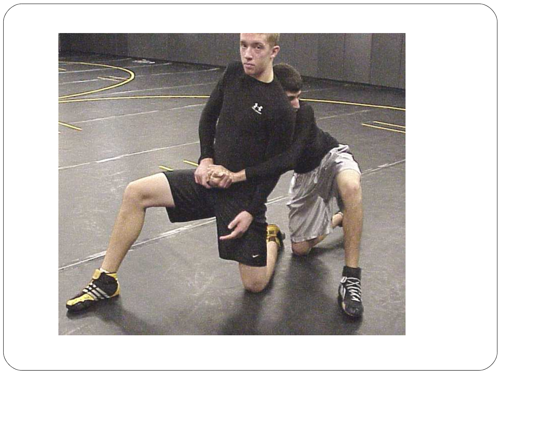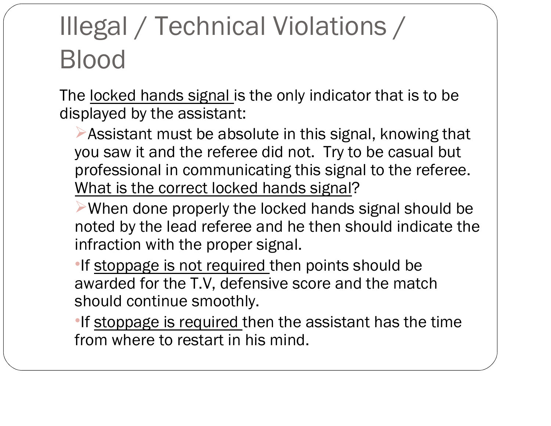# Illegal / Technical Violations / Blood

The locked hands signal is the only indicator that is to be displayed by the assistant:

Assistant must be absolute in this signal, knowing that you saw it and the referee did not. Try to be casual but professional in communicating this signal to the referee. What is the correct locked hands signal?

 When done properly the locked hands signal should be noted by the lead referee and he then should indicate the infraction with the proper signal.

•If stoppage is not required then points should be awarded for the T.V, defensive score and the match should continue smoothly.

•If stoppage is required then the assistant has the time from where to restart in his mind.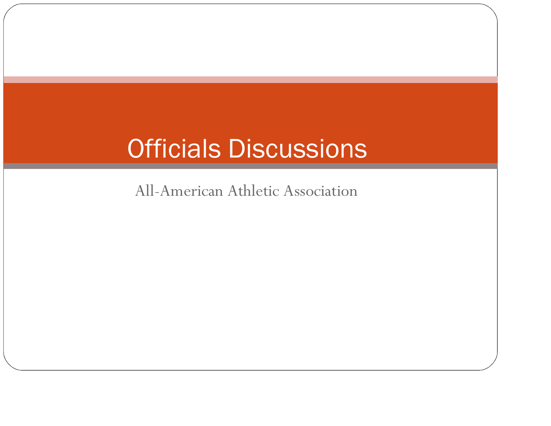## Officials Discussions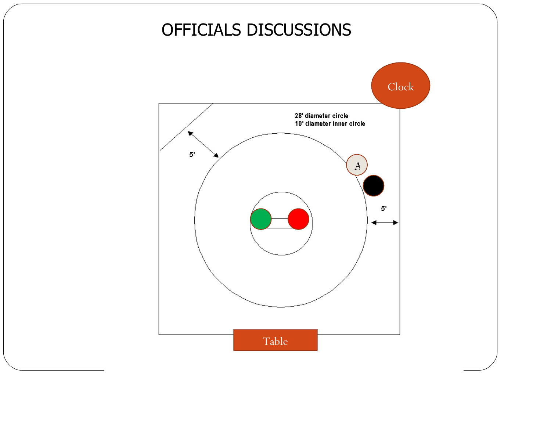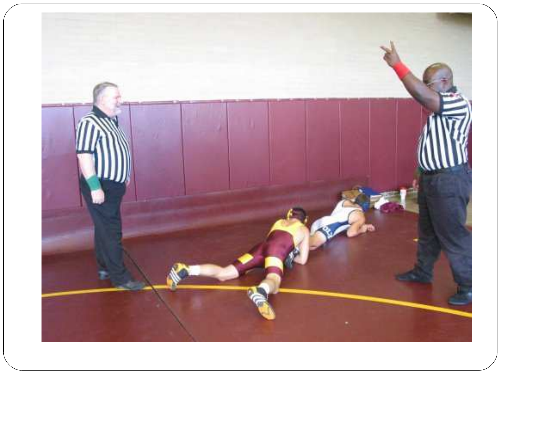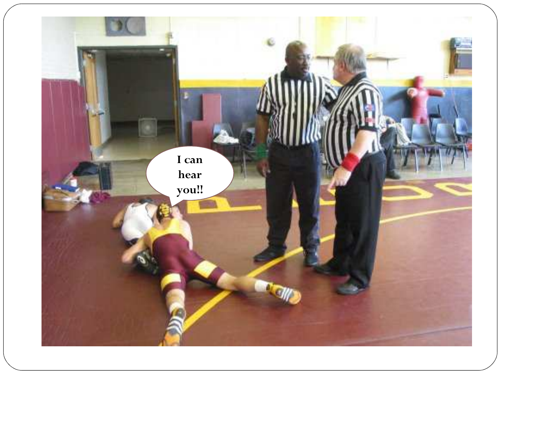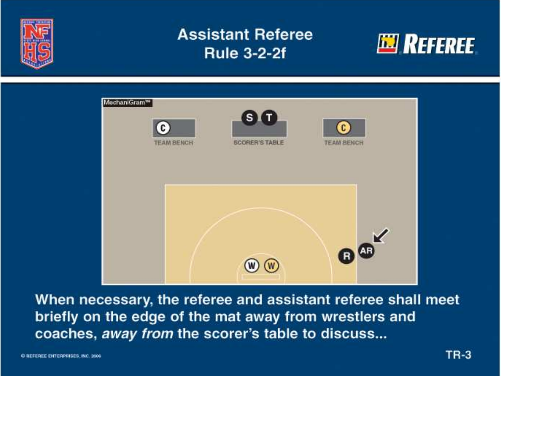

#### **Assistant Referee Rule 3-2-2f**





When necessary, the referee and assistant referee shall meet briefly on the edge of the mat away from wrestlers and coaches, away from the scorer's table to discuss...

C REFEREE ENTERPRISES, INC. 3006

 $TR-3$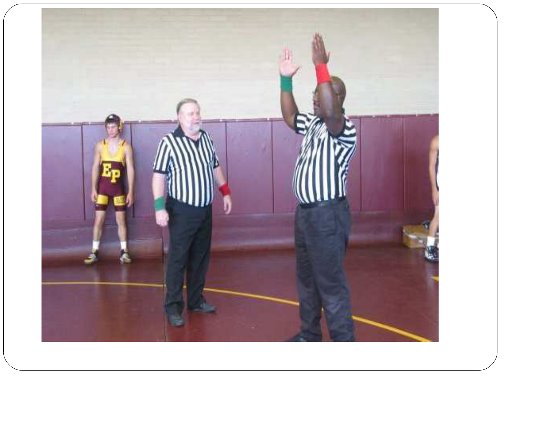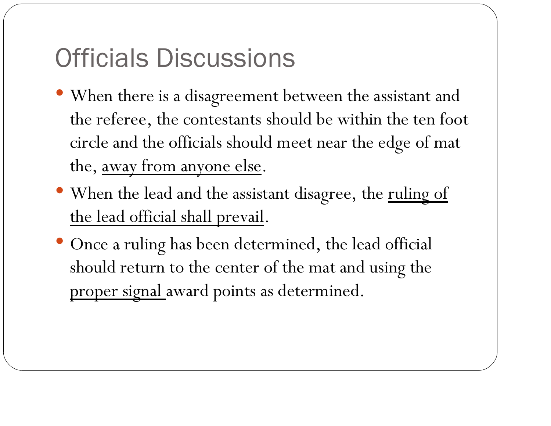# Officials Discussions

- When there is a disagreement between the assistant and the referee, the contestants should be within the ten foot circle and the officials should meet near the edge of mat the, away from anyone else.
- When the lead and the assistant disagree, the ruling of the lead official shall prevail.
- $\bullet$  Once a ruling has been determined, the lead official should return to the center of the mat and using the proper signal award points as determined.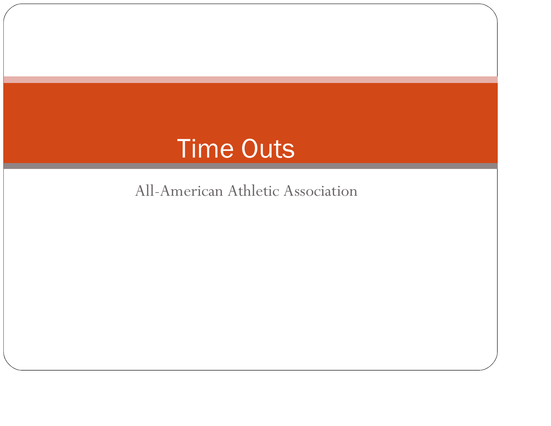# Time Outs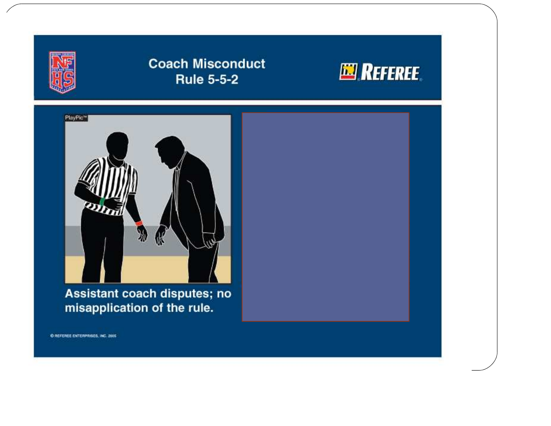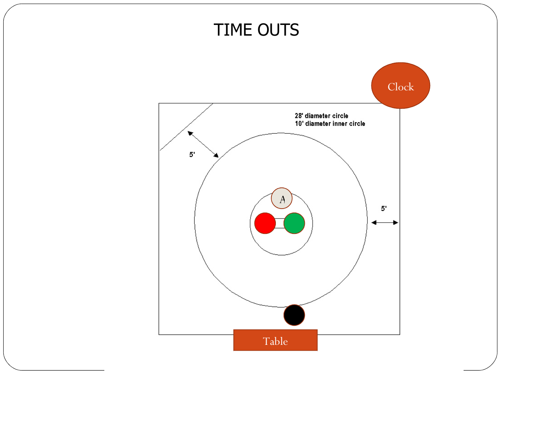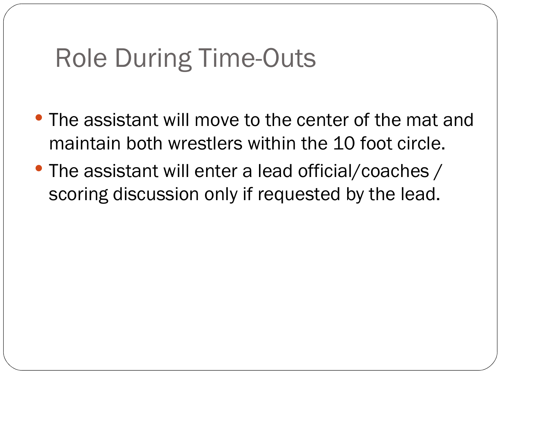### Role During Time-Outs

- The assistant will move to the center of the mat and maintain both wrestlers within the 10 foot circle.
- The assistant will enter a lead official/coaches / scoring discussion only if requested by the lead.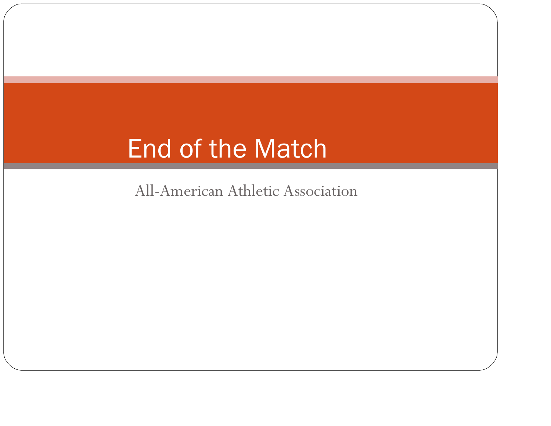#### End of the Match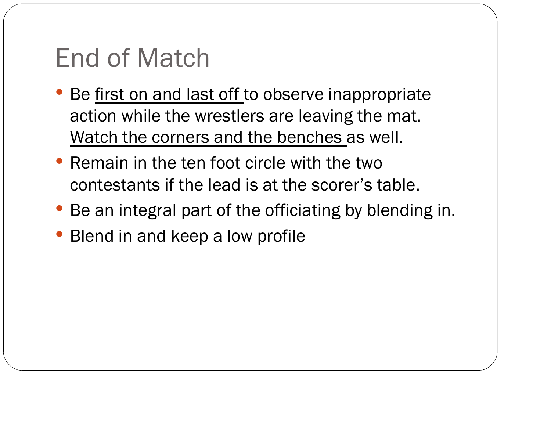#### End of Match

- Be first on and last off to observe inappropriate action while the wrestlers are leaving the mat. Watch the corners and the benches as well.
- Remain in the ten foot circle with the two contestants if the lead is at the scorer's table.
- Be an integral part of the officiating by blending in.
- Blend in and keep a low profile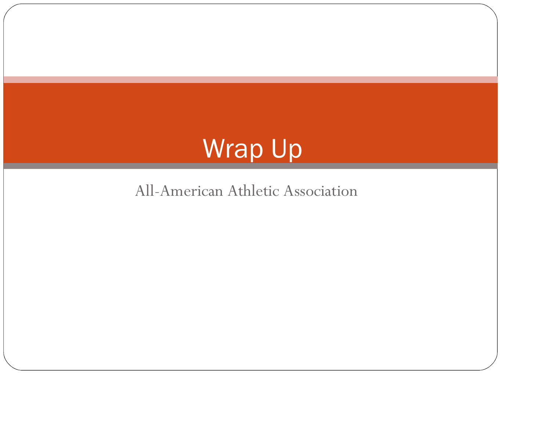# Wrap Up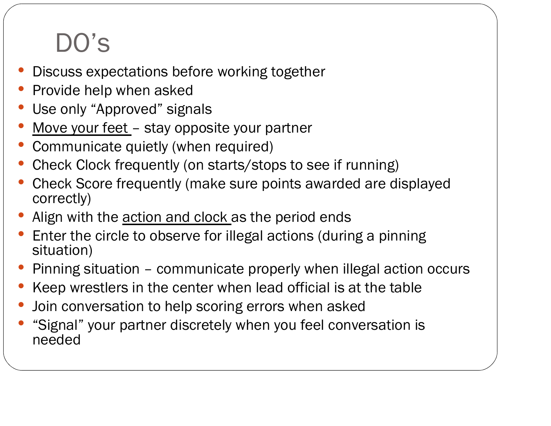# DO's

- Discuss expectations before working together 0
- 0 Provide help when asked
- Use only "Approved" signals 0
- Move your feet stay opposite your partner 0
- 0 Communicate quietly (when required)
- 0 Check Clock frequently (on starts/stops to see if running)
- 0 Check Score frequently (make sure points awarded are displayed correctly)
- 0 Align with the action and clock as the period ends
- Enter the circle to observe for illegal actions (during a pinning 0 situation)
- 0 Pinning situation – communicate properly when illegal action occurs
- 0 Keep wrestlers in the center when lead official is at the table
- 0 Join conversation to help scoring errors when asked
- "Signal" your partner discretely when you feel conversation is 0 needed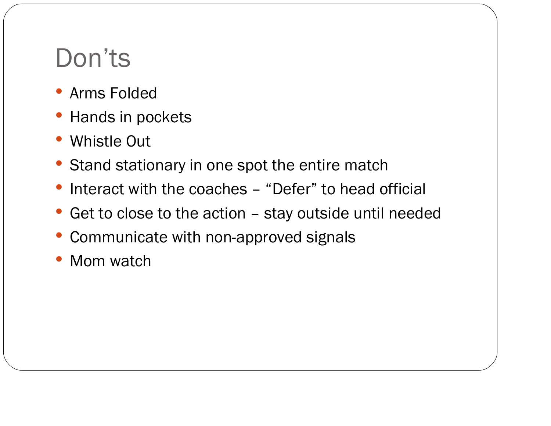## Don'ts

- Arms Folded
- Hands in pockets
- $\bullet$ Whistle Out
- $\bullet$ Stand stationary in one spot the entire match
- $\bullet$ Interact with the coaches – "Defer" to head official
- $\bullet$ Get to close to the action – stay outside until needed
- $\bullet$ Communicate with non-approved signals
- $\bullet$ Mom watch